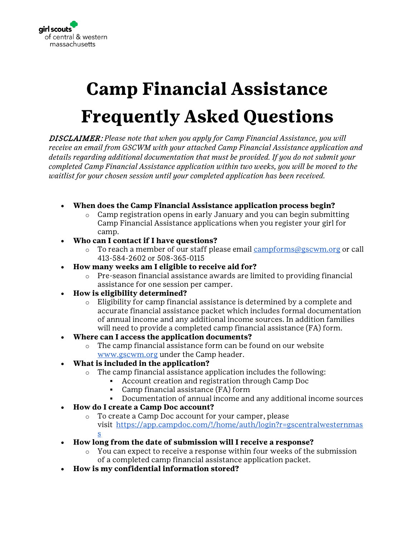

## **Camp Financial Assistance Frequently Asked Questions**

DISCLAIMER: *Please note that when you apply for Camp Financial Assistance, you will receive an email from GSCWM with your attached Camp Financial Assistance application and details regarding additional documentation that must be provided. If you do not submit your completed Camp Financial Assistance application within two weeks, you will be moved to the waitlist for your chosen session until your completed application has been received.* 

- **When does the Camp Financial Assistance application process begin?**
	- $\circ$  Camp registration opens in early January and you can begin submitting Camp Financial Assistance applications when you register your girl for camp.
- **Who can I contact if I have questions?**
	- $\circ$  To reach a member of our staff please email [campforms@gscwm.org](mailto:campforms@gscwm.org) or call 413-584-2602 or 508-365-0115
- **How many weeks am I eligible to receive aid for?**
	- $\circ$  Pre-season financial assistance awards are limited to providing financial assistance for one session per camper.
- **How is eligibility determined?**
	- o Eligibility for camp financial assistance is determined by a complete and accurate financial assistance packet which includes formal documentation of annual income and any additional income sources. In addition families will need to provide a completed camp financial assistance (FA) form.
- **Where can I access the application documents?**
	- $\circ$  The camp financial assistance form can be found on our website [www.gscwm.org](http://www.gscwm.org/) under the Camp header.
- **What is included in the application?**
	- o The camp financial assistance application includes the following:
		- Account creation and registration through Camp Doc
		- Camp financial assistance (FA) form
		- Documentation of annual income and any additional income sources
- **How do I create a Camp Doc account?**
	- o To create a Camp Doc account for your camper, please visit [https://app.campdoc.com/!/home/auth/login?r=gscentralwesternmas](https://linkprotect.cudasvc.com/url?a=https%3a%2f%2fapp.campdoc.com%2f%21%2fhome%2fauth%2flogin%3fr%3dgscentralwesternmass&c=E,1,j2iq3OiTYG0k5QDa0UFKdCeHqdhw_k-PSkH3v9hAbyJXz4roVpvlDsHpb6xYuK1cuLs09_maRr2876MOj5iv8FaI9HAvZ98RwBK8yUx_Zw,,&typo=1) [s](https://linkprotect.cudasvc.com/url?a=https%3a%2f%2fapp.campdoc.com%2f%21%2fhome%2fauth%2flogin%3fr%3dgscentralwesternmass&c=E,1,j2iq3OiTYG0k5QDa0UFKdCeHqdhw_k-PSkH3v9hAbyJXz4roVpvlDsHpb6xYuK1cuLs09_maRr2876MOj5iv8FaI9HAvZ98RwBK8yUx_Zw,,&typo=1)
	-
- **How long from the date of submission will I receive a response?**
	- You can expect to receive a response within four weeks of the submission of a completed camp financial assistance application packet.
- **How is my confidential information stored?**